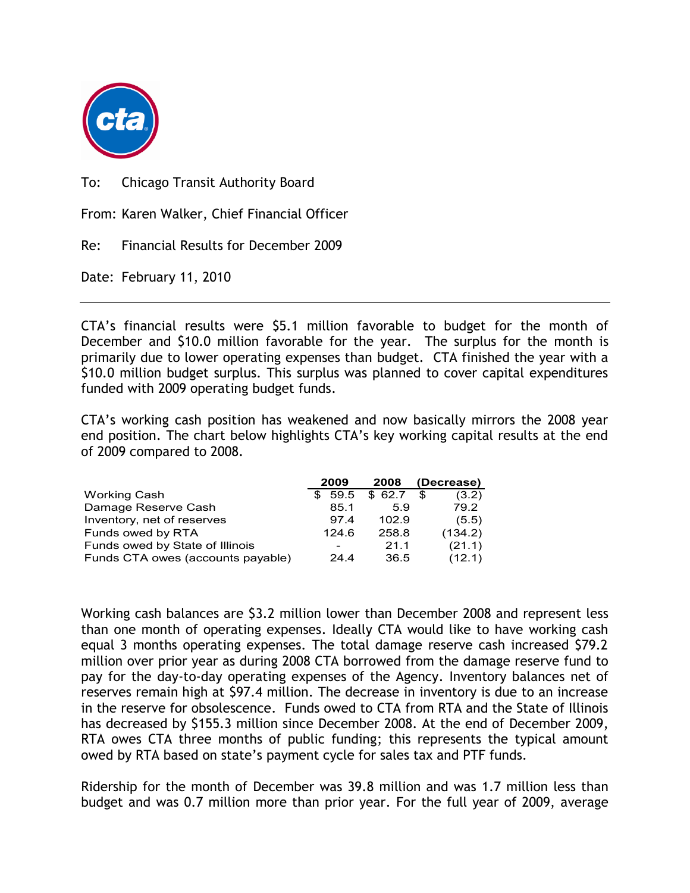

To: Chicago Transit Authority Board

From: Karen Walker, Chief Financial Officer

Re: Financial Results for December 2009

Date: February 11, 2010

CTA's financial results were \$5.1 million favorable to budget for the month of December and \$10.0 million favorable for the year. The surplus for the month is primarily due to lower operating expenses than budget. CTA finished the year with a \$10.0 million budget surplus. This surplus was planned to cover capital expenditures funded with 2009 operating budget funds.

CTA's working cash position has weakened and now basically mirrors the 2008 year end position. The chart below highlights CTA's key working capital results at the end of 2009 compared to 2008.

|                                   | 2009        | 2008   | (Decrease) |         |
|-----------------------------------|-------------|--------|------------|---------|
| <b>Working Cash</b>               | 59.5<br>\$. | \$62.7 |            | (3.2)   |
| Damage Reserve Cash               | 85.1        | 5.9    |            | 79.2    |
| Inventory, net of reserves        | 97.4        | 102.9  |            | (5.5)   |
| Funds owed by RTA                 | 124.6       | 258.8  |            | (134.2) |
| Funds owed by State of Illinois   |             | 21.1   |            | (21.1)  |
| Funds CTA owes (accounts payable) | 24.4        | 36.5   |            | (12.1)  |

Working cash balances are \$3.2 million lower than December 2008 and represent less than one month of operating expenses. Ideally CTA would like to have working cash equal 3 months operating expenses. The total damage reserve cash increased \$79.2 million over prior year as during 2008 CTA borrowed from the damage reserve fund to pay for the day-to-day operating expenses of the Agency. Inventory balances net of reserves remain high at \$97.4 million. The decrease in inventory is due to an increase in the reserve for obsolescence. Funds owed to CTA from RTA and the State of Illinois has decreased by \$155.3 million since December 2008. At the end of December 2009, RTA owes CTA three months of public funding; this represents the typical amount owed by RTA based on state's payment cycle for sales tax and PTF funds.

Ridership for the month of December was 39.8 million and was 1.7 million less than budget and was 0.7 million more than prior year. For the full year of 2009, average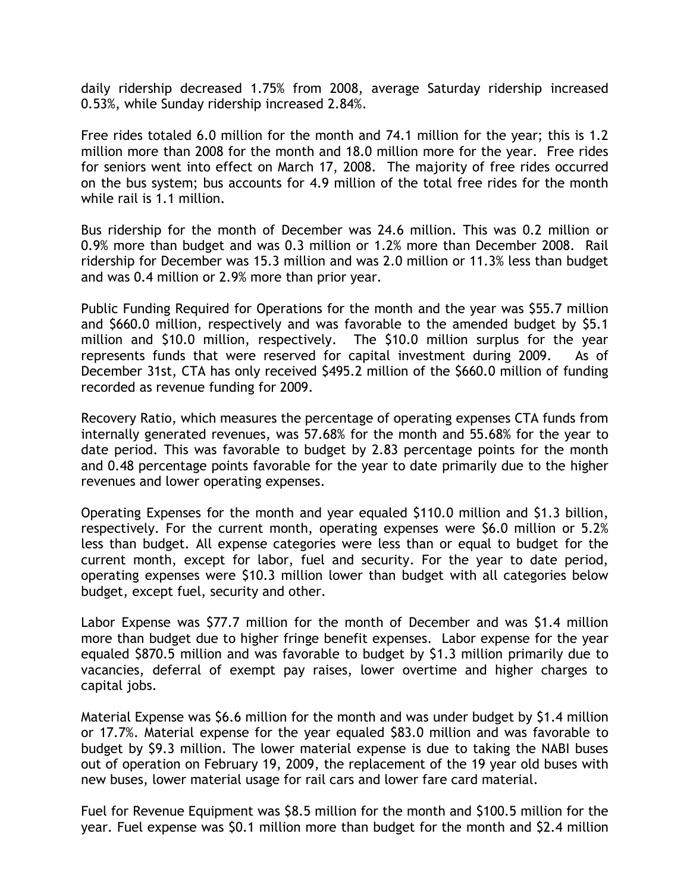daily ridership decreased 1.75% from 2008, average Saturday ridership increased 0.53%, while Sunday ridership increased 2.84%.

Free rides totaled 6.0 million for the month and 74.1 million for the year; this is 1.2 million more than 2008 for the month and 18.0 million more for the year. Free rides for seniors went into effect on March 17, 2008. The majority of free rides occurred on the bus system; bus accounts for 4.9 million of the total free rides for the month while rail is 1.1 million.

Bus ridership for the month of December was 24.6 million. This was 0.2 million or 0.9% more than budget and was 0.3 million or 1.2% more than December 2008. Rail ridership for December was 15.3 million and was 2.0 million or 11.3% less than budget and was 0.4 million or 2.9% more than prior year.

Public Funding Required for Operations for the month and the year was \$55.7 million and \$660.0 million, respectively and was favorable to the amended budget by \$5.1 million and \$10.0 million, respectively. The \$10.0 million surplus for the year represents funds that were reserved for capital investment during 2009. As of December 31st, CTA has only received \$495.2 million of the \$660.0 million of funding recorded as revenue funding for 2009.

Recovery Ratio, which measures the percentage of operating expenses CTA funds from internally generated revenues, was 57.68% for the month and 55.68% for the year to date period. This was favorable to budget by 2.83 percentage points for the month and 0.48 percentage points favorable for the year to date primarily due to the higher revenues and lower operating expenses.

Operating Expenses for the month and year equaled \$110.0 million and \$1.3 billion, respectively. For the current month, operating expenses were \$6.0 million or 5.2% less than budget. All expense categories were less than or equal to budget for the current month, except for labor, fuel and security. For the year to date period, operating expenses were \$10.3 million lower than budget with all categories below budget, except fuel, security and other.

Labor Expense was \$77.7 million for the month of December and was \$1.4 million more than budget due to higher fringe benefit expenses. Labor expense for the year equaled \$870.5 million and was favorable to budget by \$1.3 million primarily due to vacancies, deferral of exempt pay raises, lower overtime and higher charges to capital jobs.

Material Expense was \$6.6 million for the month and was under budget by \$1.4 million or 17.7%. Material expense for the year equaled \$83.0 million and was favorable to budget by \$9.3 million. The lower material expense is due to taking the NABI buses out of operation on February 19, 2009, the replacement of the 19 year old buses with new buses, lower material usage for rail cars and lower fare card material.

Fuel for Revenue Equipment was \$8.5 million for the month and \$100.5 million for the year. Fuel expense was \$0.1 million more than budget for the month and \$2.4 million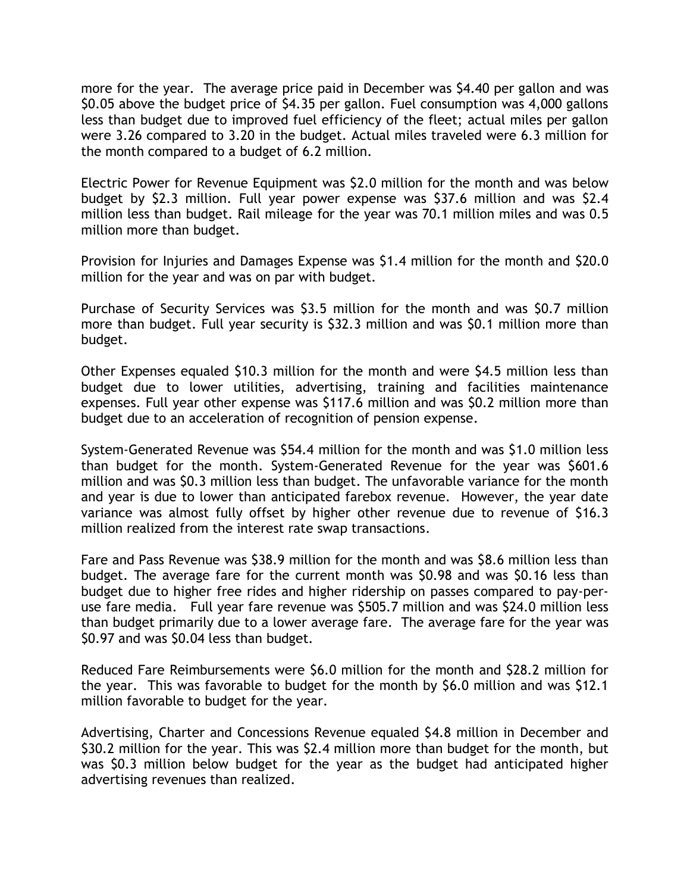more for the year. The average price paid in December was \$4.40 per gallon and was \$0.05 above the budget price of \$4.35 per gallon. Fuel consumption was 4,000 gallons less than budget due to improved fuel efficiency of the fleet; actual miles per gallon were 3.26 compared to 3.20 in the budget. Actual miles traveled were 6.3 million for the month compared to a budget of 6.2 million.

Electric Power for Revenue Equipment was \$2.0 million for the month and was below budget by \$2.3 million. Full year power expense was \$37.6 million and was \$2.4 million less than budget. Rail mileage for the year was 70.1 million miles and was 0.5 million more than budget.

Provision for Injuries and Damages Expense was \$1.4 million for the month and \$20.0 million for the year and was on par with budget.

Purchase of Security Services was \$3.5 million for the month and was \$0.7 million more than budget. Full year security is \$32.3 million and was \$0.1 million more than budget.

Other Expenses equaled \$10.3 million for the month and were \$4.5 million less than budget due to lower utilities, advertising, training and facilities maintenance expenses. Full year other expense was \$117.6 million and was \$0.2 million more than budget due to an acceleration of recognition of pension expense.

System-Generated Revenue was \$54.4 million for the month and was \$1.0 million less than budget for the month. System-Generated Revenue for the year was \$601.6 million and was \$0.3 million less than budget. The unfavorable variance for the month and year is due to lower than anticipated farebox revenue. However, the year date variance was almost fully offset by higher other revenue due to revenue of \$16.3 million realized from the interest rate swap transactions.

Fare and Pass Revenue was \$38.9 million for the month and was \$8.6 million less than budget. The average fare for the current month was \$0.98 and was \$0.16 less than budget due to higher free rides and higher ridership on passes compared to pay-peruse fare media. Full year fare revenue was \$505.7 million and was \$24.0 million less than budget primarily due to a lower average fare. The average fare for the year was \$0.97 and was \$0.04 less than budget.

Reduced Fare Reimbursements were \$6.0 million for the month and \$28.2 million for the year. This was favorable to budget for the month by \$6.0 million and was \$12.1 million favorable to budget for the year.

Advertising, Charter and Concessions Revenue equaled \$4.8 million in December and \$30.2 million for the year. This was \$2.4 million more than budget for the month, but was \$0.3 million below budget for the year as the budget had anticipated higher advertising revenues than realized.